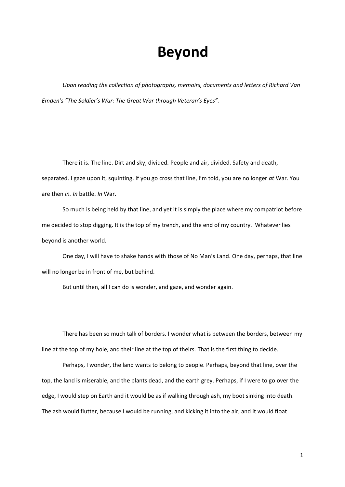## **Beyond**

*Upon reading the collection of photographs, memoirs, documents and letters of Richard Van Emden's "The Soldier's War: The Great War through Veteran's Eyes".*

There it is. The line. Dirt and sky, divided. People and air, divided. Safety and death, separated. I gaze upon it, squinting. If you go cross that line, I'm told, you are no longer *at* War. You are then *in. In* battle. *In* War.

So much is being held by that line, and yet it is simply the place where my compatriot before me decided to stop digging. It is the top of my trench, and the end of my country. Whatever lies beyond is another world.

One day, I will have to shake hands with those of No Man's Land. One day, perhaps, that line will no longer be in front of me, but behind.

But until then, all I can do is wonder, and gaze, and wonder again.

There has been so much talk of borders. I wonder what is between the borders, between my line at the top of my hole, and their line at the top of theirs. That is the first thing to decide.

Perhaps, I wonder, the land wants to belong to people. Perhaps, beyond that line, over the top, the land is miserable, and the plants dead, and the earth grey. Perhaps, if I were to go over the edge, I would step on Earth and it would be as if walking through ash, my boot sinking into death. The ash would flutter, because I would be running, and kicking it into the air, and it would float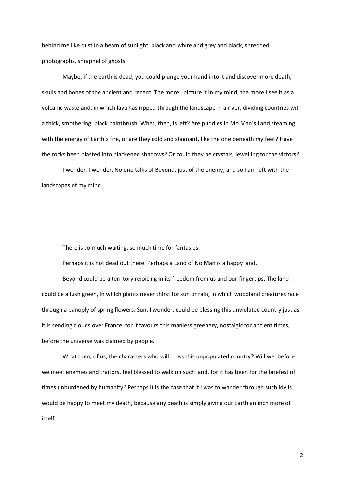behind me like dust in a beam of sunlight, black and white and grey and black, shredded photographs, shrapnel of ghosts.

Maybe, if the earth is dead, you could plunge your hand into it and discover more death, skulls and bones of the ancient and recent. The more I picture it in my mind, the more I see it as a volcanic wasteland, in which lava has ripped through the landscape in a river, dividing countries with a thick, smothering, black paintbrush. What, then, is left? Are puddles in Mo Man's Land steaming with the energy of Earth's fire, or are they cold and stagnant, like the one beneath my feet? Have the rocks been blasted into blackened shadows? Or could they be crystals, jewelling for the victors?

I wonder, I wonder. No one talks of Beyond, just of the enemy, and so I am left with the landscapes of my mind.

There is so much waiting, so much time for fantasies.

Perhaps it is not dead out there. Perhaps a Land of No Man is a happy land.

Beyond could be a territory rejoicing in its freedom from us and our fingertips. The land could be a lush green, in which plants never thirst for sun or rain, in which woodland creatures race through a panoply of spring flowers. Sun, I wonder, could be blessing this unviolated country just as it is sending clouds over France, for it favours this manless greenery, nostalgic for ancient times, before the universe was claimed by people.

What then, of us, the characters who will cross this unpopulated country? Will we, before we meet enemies and traitors, feel blessed to walk on such land, for it has been for the briefest of times unburdened by humanity? Perhaps it is the case that if I was to wander through such idylls I would be happy to meet my death, because any death is simply giving our Earth an inch more of itself.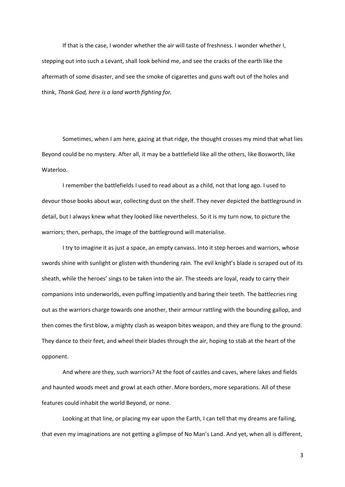If that is the case, I wonder whether the air will taste of freshness. I wonder whether I, stepping out into such a Levant, shall look behind me, and see the cracks of the earth like the aftermath of some disaster, and see the smoke of cigarettes and guns waft out of the holes and think, *Thank God, here is a land worth fighting for.*

Sometimes, when I am here, gazing at that ridge, the thought crosses my mind that what lies Beyond could be no mystery. After all, it may be a battlefield like all the others, like Bosworth, like Waterloo.

I remember the battlefields I used to read about as a child, not that long ago. I used to devour those books about war, collecting dust on the shelf. They never depicted the battleground in detail, but I always knew what they looked like nevertheless. So it is my turn now, to picture the warriors; then, perhaps, the image of the battleground will materialise.

I try to imagine it as just a space, an empty canvass. Into it step heroes and warriors, whose swords shine with sunlight or glisten with thundering rain. The evil knight's blade is scraped out of its sheath, while the heroes' sings to be taken into the air. The steeds are loyal, ready to carry their companions into underworlds, even puffing impatiently and baring their teeth. The battlecries ring out as the warriors charge towards one another, their armour rattling with the bounding gallop, and then comes the first blow, a mighty clash as weapon bites weapon, and they are flung to the ground. They dance to their feet, and wheel their blades through the air, hoping to stab at the heart of the opponent.

And where are they, such warriors? At the foot of castles and caves, where lakes and fields and haunted woods meet and growl at each other. More borders, more separations. All of these features could inhabit the world Beyond, or none.

Looking at that line, or placing my ear upon the Earth, I can tell that my dreams are failing, that even my imaginations are not getting a glimpse of No Man's Land. And yet, when all is different,

3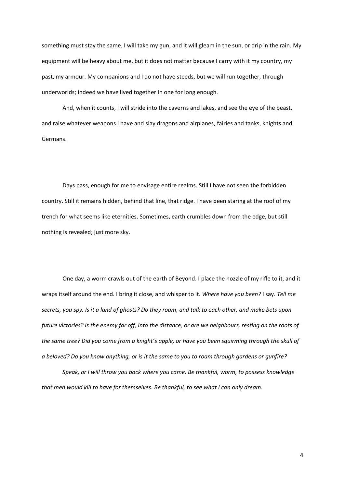something must stay the same. I will take my gun, and it will gleam in the sun, or drip in the rain. My equipment will be heavy about me, but it does not matter because I carry with it my country, my past, my armour. My companions and I do not have steeds, but we will run together, through underworlds; indeed we have lived together in one for long enough.

And, when it counts, I will stride into the caverns and lakes, and see the eye of the beast, and raise whatever weapons I have and slay dragons and airplanes, fairies and tanks, knights and Germans.

Days pass, enough for me to envisage entire realms. Still I have not seen the forbidden country. Still it remains hidden, behind that line, that ridge. I have been staring at the roof of my trench for what seems like eternities. Sometimes, earth crumbles down from the edge, but still nothing is revealed; just more sky.

One day, a worm crawls out of the earth of Beyond. I place the nozzle of my rifle to it, and it wraps itself around the end. I bring it close, and whisper to it. *Where have you been?* I say. *Tell me secrets, you spy. Is it a land of ghosts? Do they roam, and talk to each other, and make bets upon future victories? Is the enemy far off, into the distance, or are we neighbours, resting on the roots of the same tree? Did you come from a knight's apple, or have you been squirming through the skull of a beloved? Do you know anything, or is it the same to you to roam through gardens or gunfire?*

*Speak, or I will throw you back where you came. Be thankful, worm, to possess knowledge that men would kill to have for themselves. Be thankful, to see what I can only dream.*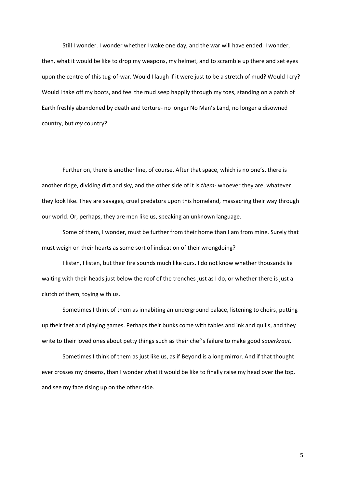Still I wonder. I wonder whether I wake one day, and the war will have ended. I wonder, then, what it would be like to drop my weapons, my helmet, and to scramble up there and set eyes upon the centre of this tug-of-war. Would I laugh if it were just to be a stretch of mud? Would I cry? Would I take off my boots, and feel the mud seep happily through my toes, standing on a patch of Earth freshly abandoned by death and torture- no longer No Man's Land, no longer a disowned country, but *my* country?

Further on, there is another line, of course. After that space, which is no one's, there is another ridge, dividing dirt and sky, and the other side of it is *them-* whoever they are, whatever they look like. They are savages, cruel predators upon this homeland, massacring their way through our world. Or, perhaps, they are men like us, speaking an unknown language.

Some of them, I wonder, must be further from their home than I am from mine. Surely that must weigh on their hearts as some sort of indication of their wrongdoing?

I listen, I listen, but their fire sounds much like ours. I do not know whether thousands lie waiting with their heads just below the roof of the trenches just as I do, or whether there is just a clutch of them, toying with us.

Sometimes I think of them as inhabiting an underground palace, listening to choirs, putting up their feet and playing games. Perhaps their bunks come with tables and ink and quills, and they write to their loved ones about petty things such as their chef's failure to make good *sauerkraut.* 

Sometimes I think of them as just like us, as if Beyond is a long mirror. And if that thought ever crosses my dreams, than I wonder what it would be like to finally raise my head over the top, and see my face rising up on the other side.

5